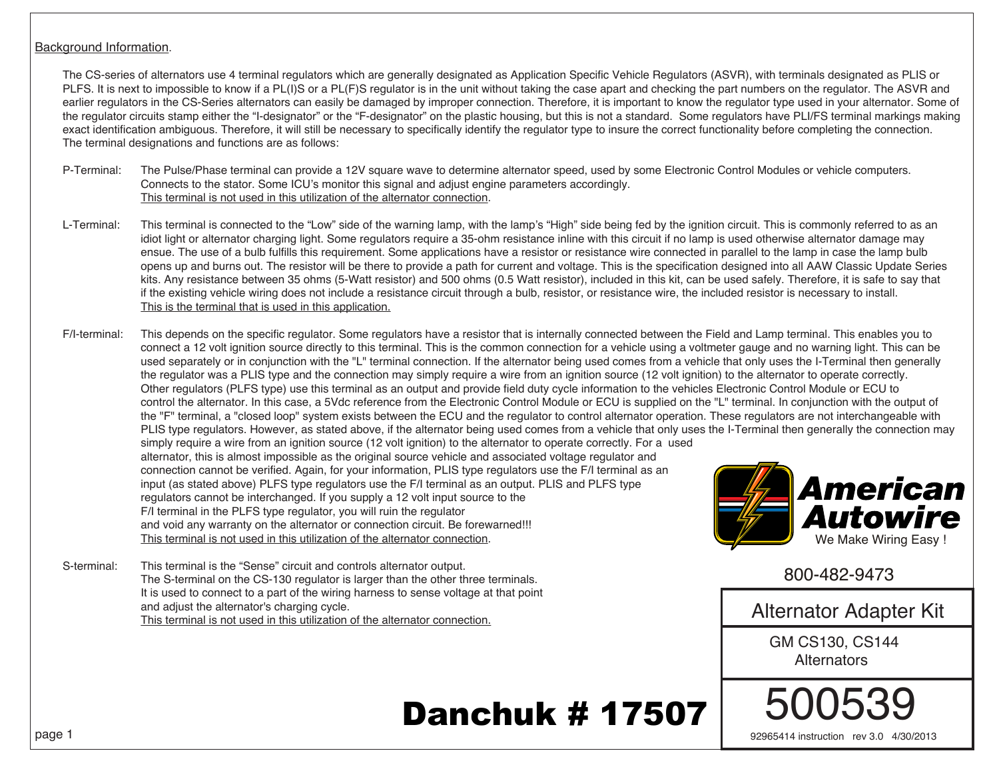## Background Information.

 The CS-series of alternators use 4 terminal regulators which are generally designated as Application Specific Vehicle Regulators (ASVR), with terminals designated as PLIS or PLFS. It is next to impossible to know if a PL(I)S or a PL(F)S regulator is in the unit without taking the case apart and checking the part numbers on the regulator. The ASVR and earlier regulators in the CS-Series alternators can easily be damaged by improper connection. Therefore, it is important to know the regulator type used in your alternator. Some of the regulator circuits stamp either the "I-designator" or the "F-designator" on the plastic housing, but this is not a standard. Some regulators have PLI/FS terminal markings making exact identification ambiguous. Therefore, it will still be necessary to specifically identify the regulator type to insure the correct functionality before completing the connection. The terminal designations and functions are as follows:

- P-Terminal: The Pulse/Phase terminal can provide a 12V square wave to determine alternator speed, used by some Electronic Control Modules or vehicle computers. Connects to the stator. Some ICU's monitor this signal and adjust engine parameters accordingly. This terminal is not used in this utilization of the alternator connection.
- L-Terminal: This terminal is connected to the "Low" side of the warning lamp, with the lamp's "High" side being fed by the ignition circuit. This is commonly referred to as an idiot light or alternator charging light. Some regulators require a 35-ohm resistance inline with this circuit if no lamp is used otherwise alternator damage may ensue. The use of a bulb fulfills this requirement. Some applications have a resistor or resistance wire connected in parallel to the lamp in case the lamp bulb opens up and burns out. The resistor will be there to provide a path for current and voltage. This is the specification designed into all AAW Classic Update Series kits. Any resistance between 35 ohms (5-Watt resistor) and 500 ohms (0.5 Watt resistor), included in this kit, can be used safely. Therefore, it is safe to say that if the existing vehicle wiring does not include a resistance circuit through a bulb, resistor, or resistance wire, the included resistor is necessary to install. This is the terminal that is used in this application.
- F/I-terminal: This depends on the specific regulator. Some regulators have a resistor that is internally connected between the Field and Lamp terminal. This enables you to connect a 12 volt ignition source directly to this terminal. This is the common connection for a vehicle using a voltmeter gauge and no warning light. This can be used separately or in conjunction with the "L" terminal connection. If the alternator being used comes from a vehicle that only uses the I-Terminal then generally the regulator was a PLIS type and the connection may simply require a wire from an ignition source (12 volt ignition) to the alternator to operate correctly. Other regulators (PLFS type) use this terminal as an output and provide field duty cycle information to the vehicles Electronic Control Module or ECU to control the alternator. In this case, a 5Vdc reference from the Electronic Control Module or ECU is supplied on the "L" terminal. In conjunction with the output of the "F" terminal, a "closed loop" system exists between the ECU and the regulator to control alternator operation. These regulators are not interchangeable with PLIS type regulators. However, as stated above, if the alternator being used comes from a vehicle that only uses the I-Terminal then generally the connection may simply require a wire from an ignition source (12 volt ignition) to the alternator to operate correctly. For a used alternator, this is almost impossible as the original source vehicle and associated voltage regulator and connection cannot be verified. Again, for your information, PLIS type regulators use the F/I terminal as an input (as stated above) PLFS type regulators use the F/I terminal as an output. PLIS and PLFS type regulators cannot be interchanged. If you supply a 12 volt input source to the F/I terminal in the PLFS type regulator, you will ruin the regulator and void any warranty on the alternator or connection circuit. Be forewarned!!! This terminal is not used in this utilization of the alternator connection.
- S-terminal: This terminal is the "Sense" circuit and controls alternator output. The S-terminal on the CS-130 regulator is larger than the other three terminals. It is used to connect to a part of the wiring harness to sense voltage at that point and adjust the alternator's charging cycle. This terminal is not used in this utilization of the alternator connection.



800-482-9473

Alternator Adapter Kit

GM CS130, CS144 **Alternators** 

500539

92965414 instruction rev 3.0 4/30/2013

## Danchuk # 17507